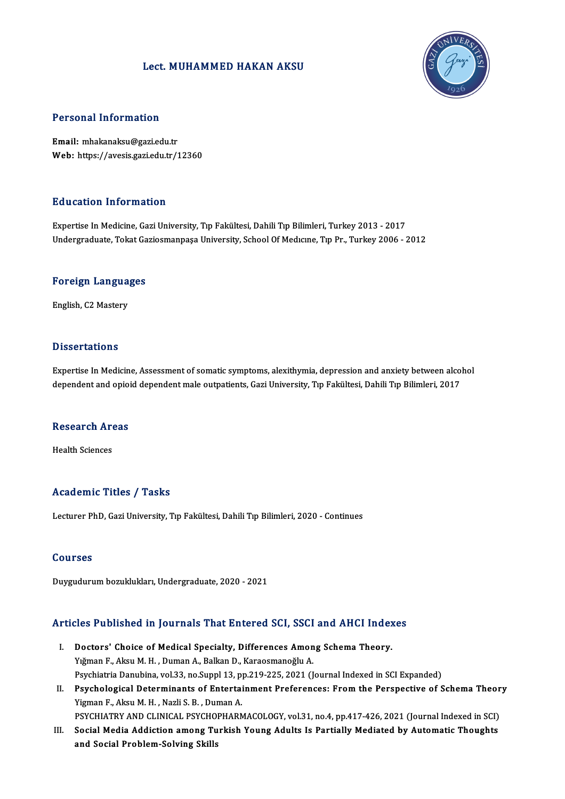### Lect.MUHAMMED HAKAN AKSU



### Personal Information

Email:mhakanaksu@gazi.edu.tr Web: https://avesis.gazi.edu.tr/12360

### Education Information

Expertise InMedicine,GaziUniversity,Tıp Fakültesi,DahiliTıpBilimleri,Turkey2013 -2017 Undergraduate, Tokat Gaziosmanpaşa University, School Of Medicine, Tip Pr., Turkey 2006 - 2012

## <sub>Undergraduate, Tokat Ga</sub><br>Foreign Languages F<mark>oreign Langua</mark><br>English, C2 Mastery

English, C2 Mastery<br>Dissertations

Expertise In Medicine, Assessment of somatic symptoms, alexithymia, depression and anxiety between alcohol dependent and opioid dependent male outpatients, Gazi University, Tıp Fakültesi, Dahili Tıp Bilimleri, 2017

## dependent and opiol<br>Research Areas R<mark>esearch Ar</mark><br>Health Sciences

# Academic Titles / Tasks

Lecturer PhD, Gazi University, Tıp Fakültesi, Dahili Tıp Bilimleri, 2020 - Continues

### Courses

Duygudurum bozuklukları, Undergraduate, 2020 - 2021

# buyguaurum bozukluklari, ondergraduate, 2020 - 2021<br>Articles Published in Journals That Entered SCI, SSCI and AHCI Indexes

- rticles Published in Journals That Entered SCI, SSCI and AHCI Index<br>I. Doctors' Choice of Medical Specialty, Differences Among Schema Theory.<br>Viğman F. Aksu M. H. Duman A. Balkan D. Karassmanağlu A. Doctors' Choice of Medical Specialty, Differences Among Schema Theory.<br>Yığman F., Aksu M. H. , Duman A., Balkan D., Karaosmanoğlu A. Doctors' Choice of Medical Specialty, Differences Among Schema Theory.<br>Yığman F., Aksu M. H. , Duman A., Balkan D., Karaosmanoğlu A.<br>Psychiatria Danubina, vol.33, no.Suppl 13, pp.219-225, 2021 (Journal Indexed in SCI Expan Yığman F., Aksu M. H. , Duman A., Balkan D., Karaosmanoğlu A.<br>Psychiatria Danubina, vol.33, no.Suppl 13, pp.219-225, 2021 (Journal Indexed in SCI Expanded)<br>II. Psychological Determinants of Entertainment Preferences: From
- Psychiatria Danubina, vol.33, no.Suppl 13, p<br>Psychological Determinants of Entertai<br>Yigman F., Aksu M. H. , Nazli S. B. , Duman A.<br>PSYCHIATRY AND CLINICAL RSYCHOPHAPA Psychological Determinants of Entertainment Preferences: From the Perspective of Schema Theor<br>Yigman F., Aksu M. H. , Nazli S. B. , Duman A.<br>PSYCHIATRY AND CLINICAL PSYCHOPHARMACOLOGY, vol.31, no.4, pp.417-426, 2021 (Journ

Yigman F., Aksu M. H. , Nazli S. B. , Duman A.<br>PSYCHIATRY AND CLINICAL PSYCHOPHARMACOLOGY, vol.31, no.4, pp.417-426, 2021 (Journal Indexed in SCI)<br>III. Social Media Addiction among Turkish Young Adults Is Partially Mediate PSYCHIATRY AND CLINICAL PSYCHO<br>Social Media Addiction among Tu<br>and Social Problem-Solving Skills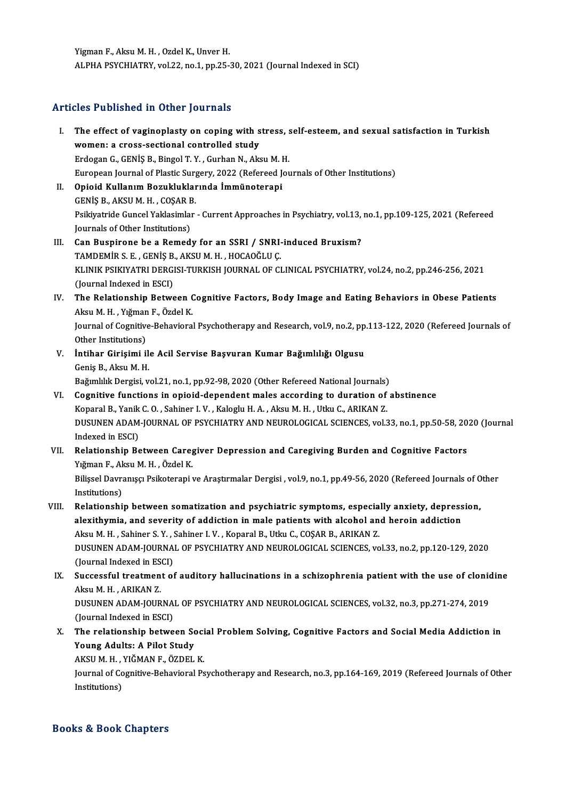Yigman F., Aksu M. H., Ozdel K., Unver H. ALPHA PSYCHIATRY, vol.22, no.1, pp.25-30, 2021 (Journal Indexed in SCI)

### Articles Published in Other Journals

rticles Published in Other Journals<br>I. The effect of vaginoplasty on coping with stress, self-esteem, and sexual satisfaction in Turkish<br>werenus grass sestional controlled study. The effect of vaginoplasty on coping with s<br>women: a cross-sectional controlled study<br>Endosan C. CENIS P. Binsel T. V. Curban N. Alv. The effect of vaginoplasty on coping with stress, s<br>women: a cross-sectional controlled study<br>Erdogan G., GENİŞ B., Bingol T.Y., Gurhan N., Aksu M. H.<br>European Journal of Plastic Surgery, 2022 (Pefereed Jou women: a cross-sectional controlled study<br>Erdogan G., GENİŞ B., Bingol T. Y. , Gurhan N., Aksu M. H.<br>European Journal of Plastic Surgery, 2022 (Refereed Journals of Other Institutions) Erdogan G., GENİŞ B., Bingol T. Y. , Gurhan N., Aksu M. I<br>European Journal of Plastic Surgery, 2022 (Refereed J.<br>II. Opioid Kullanım Bozukluklarında İmmünoterapi<br>CENİS B. AKSU M. H. COSAR B. II. Opioid Kullanım Bozukluklarında İmmünoterapi GENİŞ B., AKSU M. H., COŞAR B. Opioid Kullanım Bozukluklarında İmmünoterapi<br>GENİŞ B., AKSU M. H. , COŞAR B.<br>Psikiyatride Guncel Yaklasimlar - Current Approaches in Psychiatry, vol.13, no.1, pp.109-125, 2021 (Refereed<br>Journals of Other Institutions) GENİŞ B., AKSU M. H. , COŞAR E<br>Psikiyatride Guncel Yaklasımla<br>Journals of Other Institutions)<br>Can Buanirana ba a Bamad Psikiyatride Guncel Yaklasimlar - Current Approaches in Psychiatry, vol.13,<br>Journals of Other Institutions)<br>III. Can Buspirone be a Remedy for an SSRI / SNRI-induced Bruxism?<br>TAMPEMID S.E. CENIS B. AKSUM H. HOCAOČULE Journals of Other Institutions)<br>III. Can Buspirone be a Remedy for an SSRI / SNRI-induced Bruxism?<br>TAMDEMİR S. E. , GENİŞ B., AKSU M. H. , HOCAOĞLU Ç. Can Buspirone be a Remedy for an SSRI / SNRI-induced Bruxism?<br>TAMDEMİR S. E. , GENİŞ B., AKSU M. H. , HOCAOĞLU Ç.<br>KLINIK PSIKIYATRI DERGISI-TURKISH JOURNAL OF CLINICAL PSYCHIATRY, vol.24, no.2, pp.246-256, 2021<br>(Jaunnal In TAMDEMİR S. E. , GENİŞ B.<br>KLINIK PSIKIYATRI DERGI<br>(Journal Indexed in ESCI)<br>The Polationship Petur KLINIK PSIKIYATRI DERGISI-TURKISH JOURNAL OF CLINICAL PSYCHIATRY, vol.24, no.2, pp.246-256, 2021<br>(Journal Indexed in ESCI)<br>IV. The Relationship Between Cognitive Factors, Body Image and Eating Behaviors in Obese Patients<br>A (Journal Indexed in ESCI)<br>The Relationship Between (<br>Aksu M. H. , Yığman F., Özdel K.<br>Journal of Cornitive Behaviora The Relationship Between Cognitive Factors, Body Image and Eating Behaviors in Obese Patients<br>Aksu M. H. , Yığman F., Özdel K.<br>Journal of Cognitive-Behavioral Psychotherapy and Research, vol.9, no.2, pp.113-122, 2020 (Refe Aksu M. H. , Yığman F., Özdel K.<br>Journal of Cognitive-Behavioral Psychotherapy and Research, vol.9, no.2, pp.113-122, 2020 (Refereed Journals of<br>Other Institutions) Journal of Cognitive-Behavioral Psychotherapy and Research, vol.9, no.2, pp<br>Other Institutions)<br>V. İntihar Girişimi ile Acil Servise Başvuran Kumar Bağımlılığı Olgusu<br>Conis B. Aksu M. H Other Institutions)<br>**İntihar Girişimi il**<br>Geniş B., Aksu M. H.<br>Poğumlılık Dergisi v Geniş B., Aksu M. H.<br>Bağımlılık Dergisi, vol.21, no.1, pp.92-98, 2020 (Other Refereed National Journals) VI. Cognitive functions in opioid-dependentmales according to duration of abstinence Bağımlılık Dergisi, vol.21, no.1, pp.92-98, 2020 (Other Refereed National Journals)<br>Cognitive functions in opioid-dependent males according to duration of<br>Koparal B., Yanik C. O. , Sahiner I. V. , Kaloglu H. A. , Aksu M. H DUSUNEN ADAM-JOURNAL OF PSYCHIATRY AND NEUROLOGICAL SCIENCES, vol.33, no.1, pp.50-58, 2020 (Journal Indexed in ESCI) Koparal B., Yanik<br>DUSUNEN ADAM<br>Indexed in ESCI)<br>Polationabin Be DUSUNEN ADAM-JOURNAL OF PSYCHIATRY AND NEUROLOGICAL SCIENCES, vol.33, no.1, pp.50-58, 20<br>Indexed in ESCI)<br>VII. Relationship Between Caregiver Depression and Caregiving Burden and Cognitive Factors<br>Viğman E. Almı M.H. Ösdel Indexed in ESCI)<br><mark>Relationship Between Care</mark><br>Yığman F., Aksu M. H. , Özdel K.<br>Bilissel Deymanusu Beikatereni Relationship Between Caregiver Depression and Caregiving Burden and Cognitive Factors<br>Yığman F., Aksu M. H. , Özdel K.<br>Bilişsel Davranışçı Psikoterapi ve Araştırmalar Dergisi , vol.9, no.1, pp.49-56, 2020 (Refereed Journal Yığman F., Aksu M. H. , Özdel K.<br>Bilişsel Davranışçı Psikoterapi ve Araştırmalar Dergisi , vol.9, no.1, pp.49-56, 2020 (Refereed Journals of Other<br>Institutions) Bilișsel Davranișci Psikoterapi ve Araștirmalar Dergisi , vol.9, no.1, pp.49-56, 2020 (Refereed Journals of 0<br>Institutions)<br>VIII. Relationship between somatization and psychiatric symptoms, especially anxiety, depression,<br> Institutions)<br>Relationship between somatization and psychiatric symptoms, especially anxiety, depress<br>alexithymia, and severity of addiction in male patients with alcohol and heroin addiction<br>Algu M.H., Sobiner S. V., Sobi Relationship between somatization and psychiatric symptoms, especia<br>alexithymia, and severity of addiction in male patients with alcohol an<br>Aksu M. H. , Sahiner S. Y. , Sahiner I. V. , Koparal B., Utku C., COŞAR B., ARIKAN alexithymia, and severity of addiction in male patients with alcohol and heroin addiction<br>Aksu M. H., Sahiner S. Y., Sahiner I. V., Koparal B., Utku C., COŞAR B., ARIKAN Z.<br>DUSUNEN ADAM-JOURNAL OF PSYCHIATRY AND NEUROLOGIC Aksu M. H., Sahiner S. Y., Sahiner I. V., Koparal B., Utku C., COSAR B., ARIKAN Z. DUSUNEN ADAM-JOURNAL OF PSYCHIATRY AND NEUROLOGICAL SCIENCES, vol.33, no.2, pp.120-129, 2020<br>(Journal Indexed in ESCI)<br>IX. Successful treatment of auditory hallucinations in a schizophrenia patient with the use of clonidin (Journal Indexed in ES<br>Successful treatmen<br>Aksu M. H. , ARIKAN Z.<br>DUSUNEN ADAM JOUP Successful treatment of auditory hallucinations in a schizophrenia patient with the use of clonic<br>Aksu M. H. , ARIKAN Z.<br>DUSUNEN ADAM-JOURNAL OF PSYCHIATRY AND NEUROLOGICAL SCIENCES, vol.32, no.3, pp.271-274, 2019<br>(Journal Aksu M. H. , ARIKAN Z.<br>DUSUNEN ADAM-JOURNAL OF PSYCHIATRY AND NEUROLOGICAL SCIENCES, vol.32, no.3, pp.271-274, 2019<br>(Journal Indexed in ESCI) DUSUNEN ADAM-JOURNAL OF PSYCHIATRY AND NEUROLOGICAL SCIENCES, vol.32, no.3, pp.271-274, 2019<br>(Journal Indexed in ESCI)<br>X. The relationship between Social Problem Solving, Cognitive Factors and Social Media Addiction in<br>You (Journal Indexed in ESCI)<br>The relationship between So<br>Young Adults: A Pilot Study<br>AKSUM H - VIČMAN E -ÖZDEL The relationship between Soci<br>Young Adults: A Pilot Study<br>AKSU M. H. , YIĞMAN F., ÖZDEL K.<br>Journal of Cognitive Behavioral Pe

Young Adults: A Pilot Study<br>AKSU M. H. , YIĞMAN F., ÖZDEL K.<br>Journal of Cognitive-Behavioral Psychotherapy and Research, no.3, pp.164-169, 2019 (Refereed Journals of Other<br>Institutions) AKSU M. H. , `<br>Journal of Co<br>Institutions)

### Books&Book Chapters